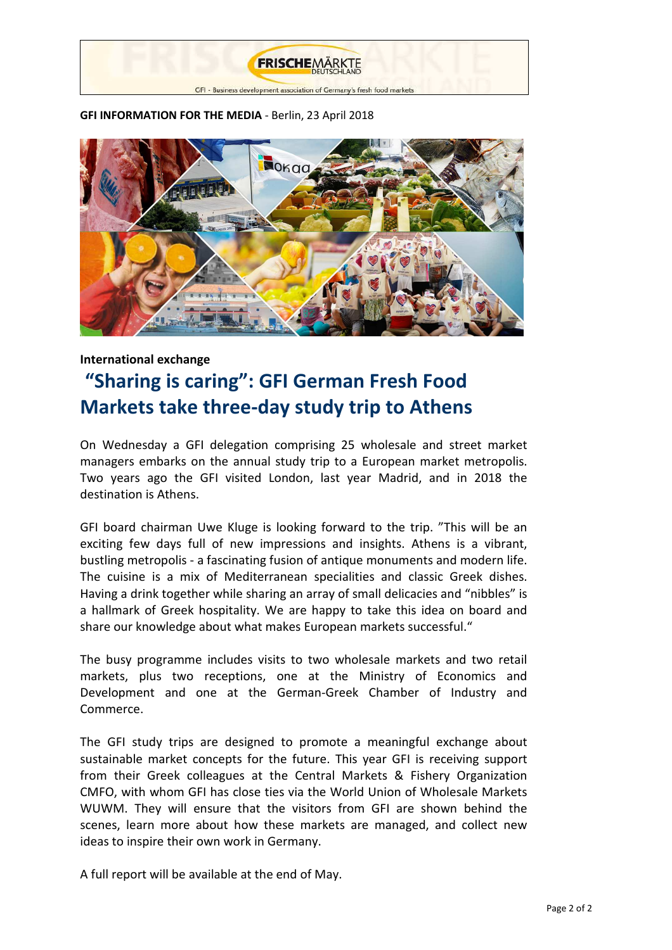

## **GFI INFORMATION FOR THE MEDIA** - Berlin, 23 April 2018



## **International exchange**

# **"Sharing is caring": GFI German Fresh Food Markets take three-day study trip to Athens**

On Wednesday a GFI delegation comprising 25 wholesale and street market managers embarks on the annual study trip to a European market metropolis. Two years ago the GFI visited London, last year Madrid, and in 2018 the destination is Athens.

GFI board chairman Uwe Kluge is looking forward to the trip. "This will be an exciting few days full of new impressions and insights. Athens is a vibrant, bustling metropolis - a fascinating fusion of antique monuments and modern life. The cuisine is a mix of Mediterranean specialities and classic Greek dishes. Having a drink together while sharing an array of small delicacies and "nibbles" is a hallmark of Greek hospitality. We are happy to take this idea on board and share our knowledge about what makes European markets successful."

The busy programme includes visits to two wholesale markets and two retail markets, plus two receptions, one at the Ministry of Economics and Development and one at the German-Greek Chamber of Industry and Commerce.

The GFI study trips are designed to promote a meaningful exchange about sustainable market concepts for the future. This year GFI is receiving support from their Greek colleagues at the Central Markets & Fishery Organization CMFO, with whom GFI has close ties via the World Union of Wholesale Markets WUWM. They will ensure that the visitors from GFI are shown behind the scenes, learn more about how these markets are managed, and collect new ideas to inspire their own work in Germany.

A full report will be available at the end of May.